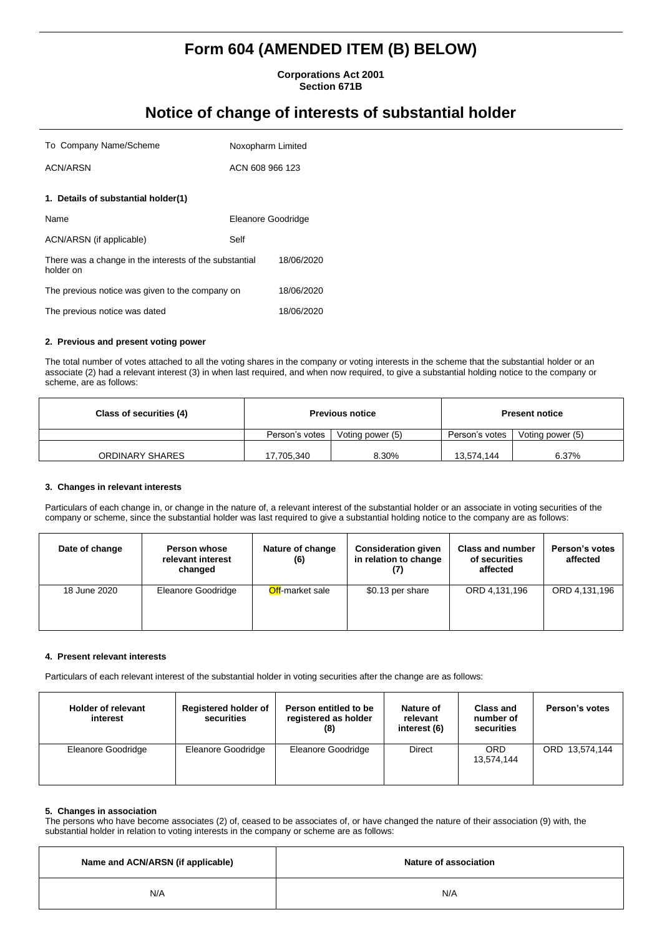# **Form 604 (AMENDED ITEM (B) BELOW)**

**Corporations Act 2001 Section 671B**

## **Notice of change of interests of substantial holder**

| To Company Name/Scheme                                              | Noxopharm Limited  |            |
|---------------------------------------------------------------------|--------------------|------------|
| <b>ACN/ARSN</b>                                                     | ACN 608 966 123    |            |
| 1. Details of substantial holder(1)                                 |                    |            |
| Name                                                                | Eleanore Goodridge |            |
| ACN/ARSN (if applicable)                                            | Self               |            |
| There was a change in the interests of the substantial<br>holder on |                    | 18/06/2020 |
| The previous notice was given to the company on                     |                    | 18/06/2020 |
| The previous notice was dated                                       |                    | 18/06/2020 |

## **2. Previous and present voting power**

The total number of votes attached to all the voting shares in the company or voting interests in the scheme that the substantial holder or an associate (2) had a relevant interest (3) in when last required, and when now required, to give a substantial holding notice to the company or scheme, are as follows:

| Class of securities (4) | <b>Previous notice</b> |                  | <b>Present notice</b> |                  |
|-------------------------|------------------------|------------------|-----------------------|------------------|
|                         | Person's votes         | Voting power (5) | Person's votes        | Voting power (5) |
| ORDINARY SHARES         | 17,705,340             | 8.30%            | 13.574.144            | 6.37%            |

#### **3. Changes in relevant interests**

Particulars of each change in, or change in the nature of, a relevant interest of the substantial holder or an associate in voting securities of the company or scheme, since the substantial holder was last required to give a substantial holding notice to the company are as follows:

| Date of change | Person whose<br>relevant interest<br>changed | Nature of change<br>(6) | <b>Consideration given</b><br>in relation to change | <b>Class and number</b><br>of securities<br>affected | Person's votes<br>affected |
|----------------|----------------------------------------------|-------------------------|-----------------------------------------------------|------------------------------------------------------|----------------------------|
| 18 June 2020   | Eleanore Goodridge                           | <b>Off-market sale</b>  | \$0.13 per share                                    | ORD 4.131.196                                        | ORD 4,131,196              |

## **4. Present relevant interests**

Particulars of each relevant interest of the substantial holder in voting securities after the change are as follows:

| <b>Holder of relevant</b><br>interest | <b>Registered holder of</b><br>securities | Person entitled to be<br>registered as holder<br>(8) | Nature of<br>relevant<br>interest (6) | <b>Class and</b><br>number of<br>securities | Person's votes |
|---------------------------------------|-------------------------------------------|------------------------------------------------------|---------------------------------------|---------------------------------------------|----------------|
| Eleanore Goodridge                    | Eleanore Goodridge                        | Eleanore Goodridge                                   | Direct                                | ORD<br>13,574,144                           | ORD 13,574,144 |

## **5. Changes in association**

The persons who have become associates (2) of, ceased to be associates of, or have changed the nature of their association (9) with, the substantial holder in relation to voting interests in the company or scheme are as follows:

| Name and ACN/ARSN (if applicable) | Nature of association |
|-----------------------------------|-----------------------|
| N/A                               | N/A                   |